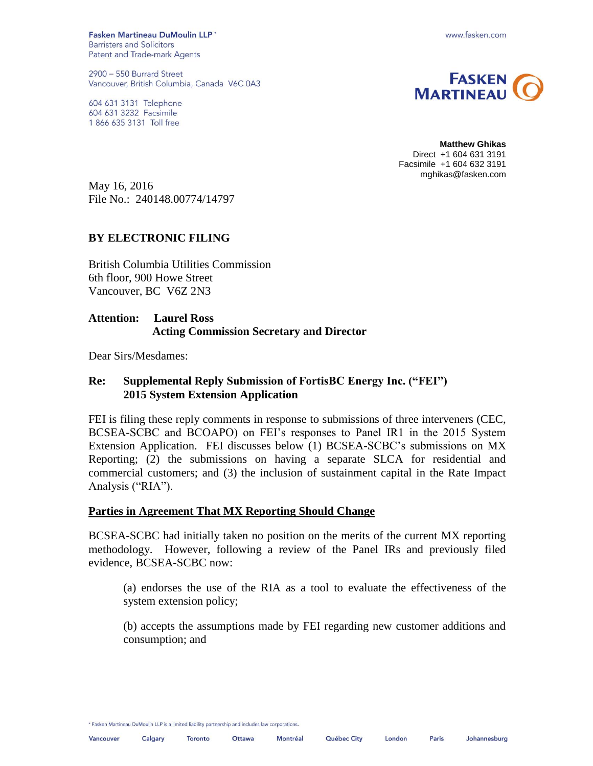Fasken Martineau DuMoulin LLP' **Barristers and Solicitors** Patent and Trade-mark Agents

2900 - 550 Burrard Street Vancouver, British Columbia, Canada V6C 0A3

604 631 3131 Telephone 604 631 3232 Facsimile 1 866 635 3131 Toll free





**Matthew Ghikas** Direct +1 604 631 3191 Facsimile +1 604 632 3191 mghikas@fasken.com

May 16, 2016 File No.: 240148.00774/14797

#### **BY ELECTRONIC FILING**

British Columbia Utilities Commission 6th floor, 900 Howe Street Vancouver, BC V6Z 2N3

# **Attention: Laurel Ross Acting Commission Secretary and Director**

Dear Sirs/Mesdames:

# **Re: Supplemental Reply Submission of FortisBC Energy Inc. ("FEI") 2015 System Extension Application**

FEI is filing these reply comments in response to submissions of three interveners (CEC, BCSEA-SCBC and BCOAPO) on FEI's responses to Panel IR1 in the 2015 System Extension Application. FEI discusses below (1) BCSEA-SCBC's submissions on MX Reporting; (2) the submissions on having a separate SLCA for residential and commercial customers; and (3) the inclusion of sustainment capital in the Rate Impact Analysis ("RIA").

#### **Parties in Agreement That MX Reporting Should Change**

BCSEA-SCBC had initially taken no position on the merits of the current MX reporting methodology. However, following a review of the Panel IRs and previously filed evidence, BCSEA-SCBC now:

(a) endorses the use of the RIA as a tool to evaluate the effectiveness of the system extension policy;

(b) accepts the assumptions made by FEI regarding new customer additions and consumption; and

\* Fasken Martineau DuMoulin LLP is a limited liability partnership and includes law corporations.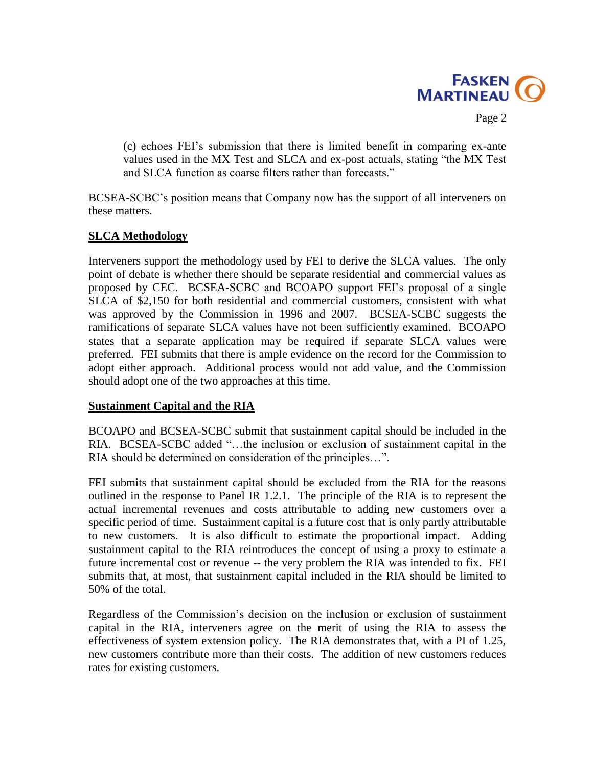

Page 2

(c) echoes FEI's submission that there is limited benefit in comparing ex-ante values used in the MX Test and SLCA and ex-post actuals, stating "the MX Test and SLCA function as coarse filters rather than forecasts."

BCSEA-SCBC's position means that Company now has the support of all interveners on these matters.

# **SLCA Methodology**

Interveners support the methodology used by FEI to derive the SLCA values. The only point of debate is whether there should be separate residential and commercial values as proposed by CEC. BCSEA-SCBC and BCOAPO support FEI's proposal of a single SLCA of \$2,150 for both residential and commercial customers, consistent with what was approved by the Commission in 1996 and 2007. BCSEA-SCBC suggests the ramifications of separate SLCA values have not been sufficiently examined. BCOAPO states that a separate application may be required if separate SLCA values were preferred. FEI submits that there is ample evidence on the record for the Commission to adopt either approach. Additional process would not add value, and the Commission should adopt one of the two approaches at this time.

#### **Sustainment Capital and the RIA**

BCOAPO and BCSEA-SCBC submit that sustainment capital should be included in the RIA. BCSEA-SCBC added "…the inclusion or exclusion of sustainment capital in the RIA should be determined on consideration of the principles…".

FEI submits that sustainment capital should be excluded from the RIA for the reasons outlined in the response to Panel IR 1.2.1. The principle of the RIA is to represent the actual incremental revenues and costs attributable to adding new customers over a specific period of time. Sustainment capital is a future cost that is only partly attributable to new customers. It is also difficult to estimate the proportional impact. Adding sustainment capital to the RIA reintroduces the concept of using a proxy to estimate a future incremental cost or revenue -- the very problem the RIA was intended to fix. FEI submits that, at most, that sustainment capital included in the RIA should be limited to 50% of the total.

Regardless of the Commission's decision on the inclusion or exclusion of sustainment capital in the RIA, interveners agree on the merit of using the RIA to assess the effectiveness of system extension policy. The RIA demonstrates that, with a PI of 1.25, new customers contribute more than their costs. The addition of new customers reduces rates for existing customers.